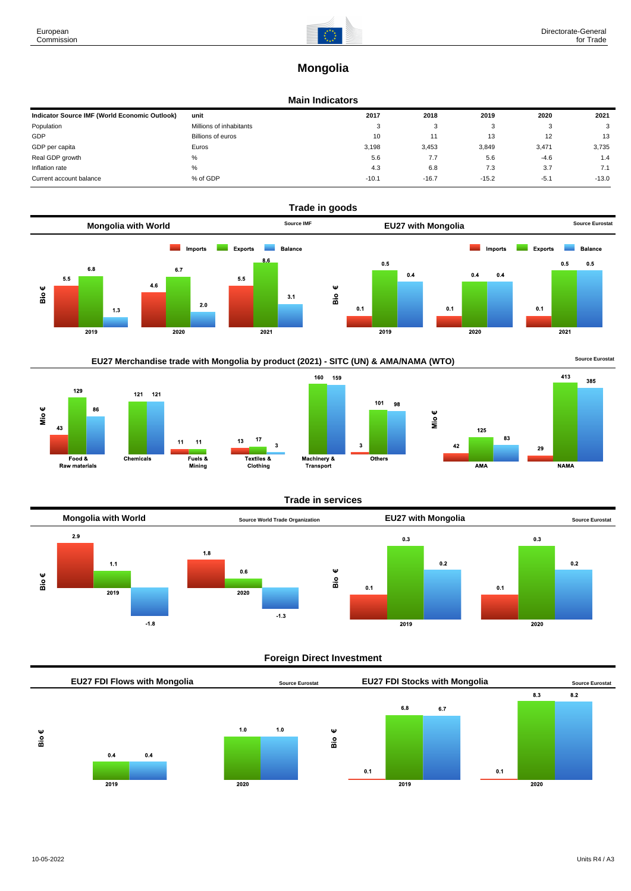

## **Mongolia**

### **Main Indicators**

| Indicator Source IMF (World Economic Outlook) | unit                    | 2017    | 2018    | 2019    | 2020   | 2021    |
|-----------------------------------------------|-------------------------|---------|---------|---------|--------|---------|
| Population                                    | Millions of inhabitants | ۰       | 3       |         | - 0    | 3       |
| GDP                                           | Billions of euros       | 10      |         | 13      | 12     | 13      |
| GDP per capita                                | Euros                   | 3,198   | 3.453   | 3,849   | 3,471  | 3,735   |
| Real GDP growth                               | %                       | 5.6     | 7.7     | 5.6     | $-4.6$ | 1.4     |
| Inflation rate                                | %                       | 4.3     | 6.8     | 7.3     | 3.7    | 7.1     |
| Current account balance                       | % of GDP                | $-10.1$ | $-16.7$ | $-15.2$ | $-5.1$ | $-13.0$ |











### **Trade in services**

3



### **Foreign Direct Investment**